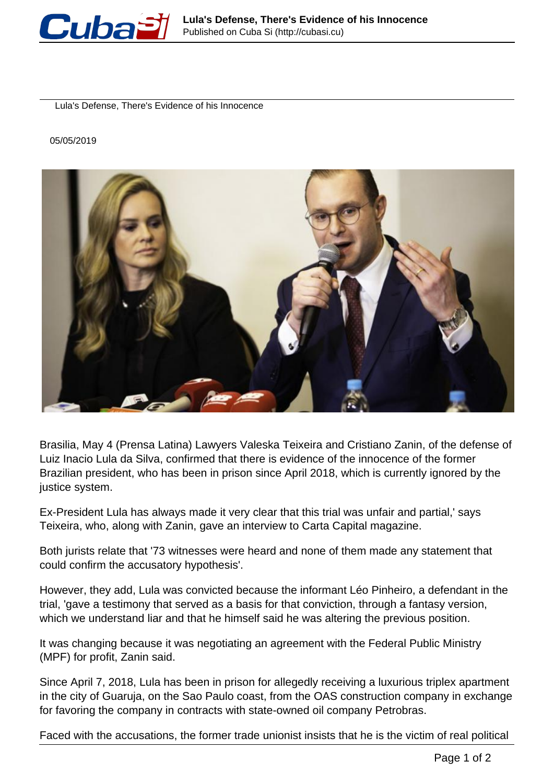

Lula's Defense, There's Evidence of his Innocence

## 05/05/2019



Brasilia, May 4 (Prensa Latina) Lawyers Valeska Teixeira and Cristiano Zanin, of the defense of Luiz Inacio Lula da Silva, confirmed that there is evidence of the innocence of the former Brazilian president, who has been in prison since April 2018, which is currently ignored by the justice system.

Ex-President Lula has always made it very clear that this trial was unfair and partial,' says Teixeira, who, along with Zanin, gave an interview to Carta Capital magazine.

Both jurists relate that '73 witnesses were heard and none of them made any statement that could confirm the accusatory hypothesis'.

However, they add, Lula was convicted because the informant Léo Pinheiro, a defendant in the trial, 'gave a testimony that served as a basis for that conviction, through a fantasy version, which we understand liar and that he himself said he was altering the previous position.

It was changing because it was negotiating an agreement with the Federal Public Ministry (MPF) for profit, Zanin said.

Since April 7, 2018, Lula has been in prison for allegedly receiving a luxurious triplex apartment in the city of Guaruja, on the Sao Paulo coast, from the OAS construction company in exchange for favoring the company in contracts with state-owned oil company Petrobras.

Faced with the accusations, the former trade unionist insists that he is the victim of real political